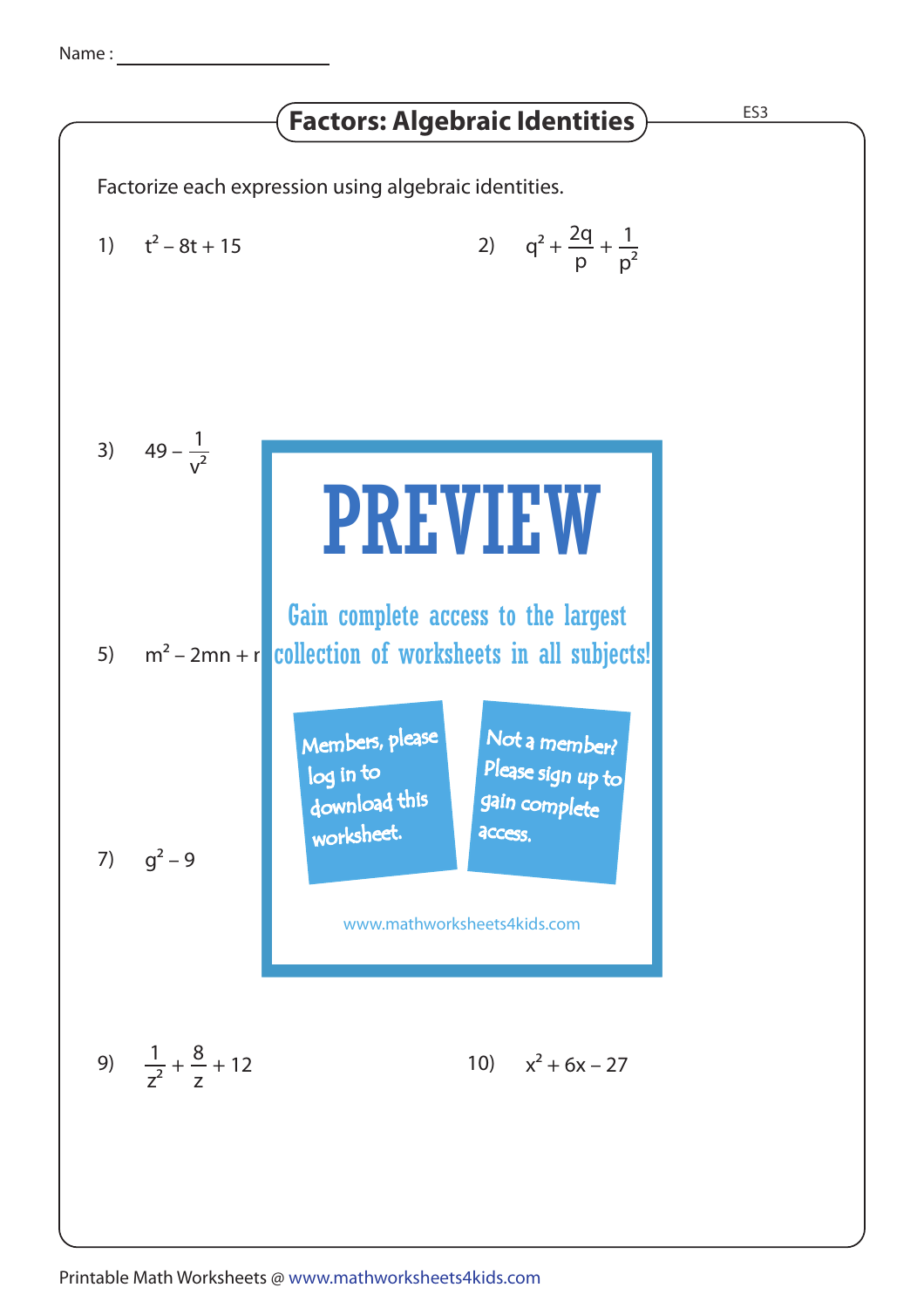